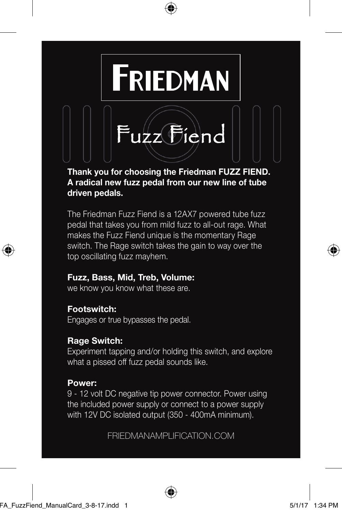

## **Thank you for choosing the Friedman FUZZ FIEND. A radical new fuzz pedal from our new line of tube driven pedals.**

The Friedman Fuzz Fiend is a 12AX7 powered tube fuzz pedal that takes you from mild fuzz to all-out rage. What makes the Fuzz Fiend unique is the momentary Rage switch. The Rage switch takes the gain to way over the top oscillating fuzz mayhem.

# **Fuzz, Bass, Mid, Treb, Volume:**

we know you know what these are.

# **Footswitch:**

Engages or true bypasses the pedal.

# **Rage Switch:**

Experiment tapping and/or holding this switch, and explore what a pissed off fuzz pedal sounds like.

## **Power:**

9 - 12 volt DC negative tip power connector. Power using the included power supply or connect to a power supply with 12V DC isolated output (350 - 400mA minimum).